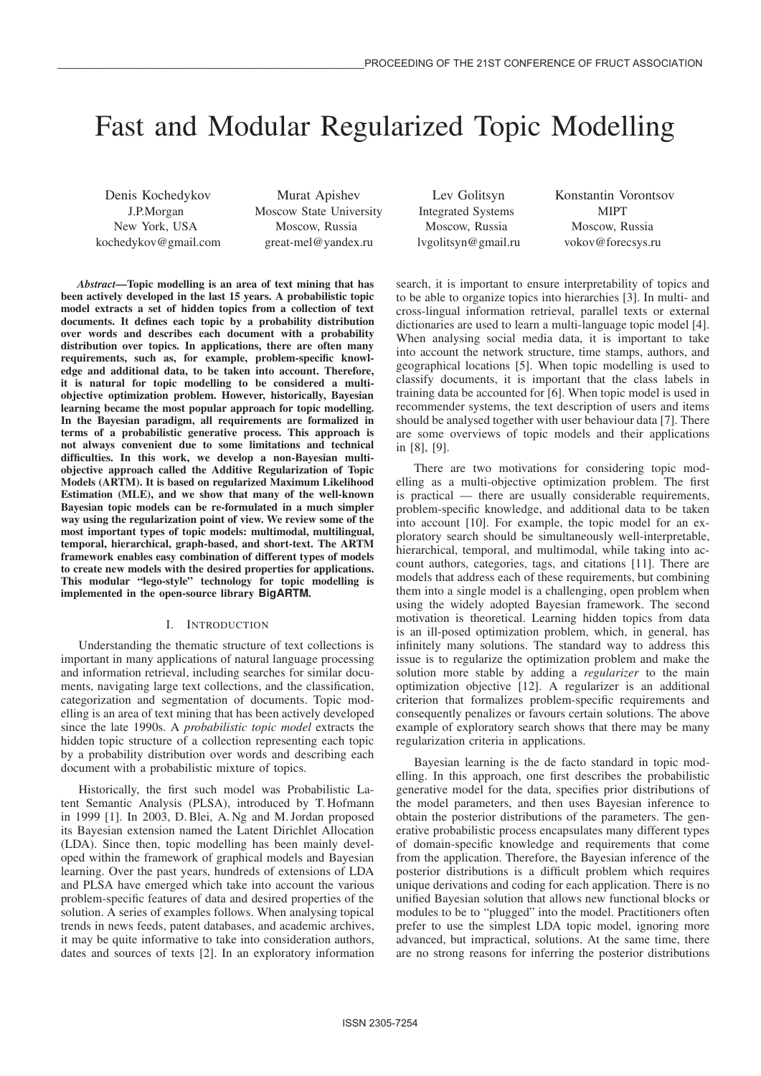# Fast and Modular Regularized Topic Modelling

Denis Kochedykov J.P.Morgan New York, USA kochedykov@gmail.com

Murat Apishev Moscow State University Moscow, Russia great-mel@yandex.ru

Lev Golitsyn Integrated Systems Moscow, Russia lvgolitsyn@gmail.ru Konstantin Vorontsov MIPT Moscow, Russia vokov@forecsys.ru

*Abstract***—Topic modelling is an area of text mining that has been actively developed in the last 15 years. A probabilistic topic model extracts a set of hidden topics from a collection of text documents. It defines each topic by a probability distribution over words and describes each document with a probability distribution over topics. In applications, there are often many requirements, such as, for example, problem-specific knowledge and additional data, to be taken into account. Therefore, it is natural for topic modelling to be considered a multiobjective optimization problem. However, historically, Bayesian learning became the most popular approach for topic modelling. In the Bayesian paradigm, all requirements are formalized in terms of a probabilistic generative process. This approach is not always convenient due to some limitations and technical difficulties. In this work, we develop a non-Bayesian multiobjective approach called the Additive Regularization of Topic Models (ARTM). It is based on regularized Maximum Likelihood Estimation (MLE), and we show that many of the well-known Bayesian topic models can be re-formulated in a much simpler way using the regularization point of view. We review some of the most important types of topic models: multimodal, multilingual, temporal, hierarchical, graph-based, and short-text. The ARTM framework enables easy combination of different types of models to create new models with the desired properties for applications. This modular "lego-style" technology for topic modelling is implemented in the open-source library BigARTM.**

# I. INTRODUCTION

Understanding the thematic structure of text collections is important in many applications of natural language processing and information retrieval, including searches for similar documents, navigating large text collections, and the classification, categorization and segmentation of documents. Topic modelling is an area of text mining that has been actively developed since the late 1990s. A *probabilistic topic model* extracts the hidden topic structure of a collection representing each topic by a probability distribution over words and describing each document with a probabilistic mixture of topics.

Historically, the first such model was Probabilistic Latent Semantic Analysis (PLSA), introduced by T. Hofmann in 1999 [1]. In 2003, D. Blei, A. Ng and M. Jordan proposed its Bayesian extension named the Latent Dirichlet Allocation (LDA). Since then, topic modelling has been mainly developed within the framework of graphical models and Bayesian learning. Over the past years, hundreds of extensions of LDA and PLSA have emerged which take into account the various problem-specific features of data and desired properties of the solution. A series of examples follows. When analysing topical trends in news feeds, patent databases, and academic archives, it may be quite informative to take into consideration authors, dates and sources of texts [2]. In an exploratory information search, it is important to ensure interpretability of topics and to be able to organize topics into hierarchies [3]. In multi- and cross-lingual information retrieval, parallel texts or external dictionaries are used to learn a multi-language topic model [4]. When analysing social media data, it is important to take into account the network structure, time stamps, authors, and geographical locations [5]. When topic modelling is used to classify documents, it is important that the class labels in training data be accounted for [6]. When topic model is used in recommender systems, the text description of users and items should be analysed together with user behaviour data [7]. There are some overviews of topic models and their applications in [8], [9].

There are two motivations for considering topic modelling as a multi-objective optimization problem. The first is practical — there are usually considerable requirements, problem-specific knowledge, and additional data to be taken into account [10]. For example, the topic model for an exploratory search should be simultaneously well-interpretable, hierarchical, temporal, and multimodal, while taking into account authors, categories, tags, and citations [11]. There are models that address each of these requirements, but combining them into a single model is a challenging, open problem when using the widely adopted Bayesian framework. The second motivation is theoretical. Learning hidden topics from data is an ill-posed optimization problem, which, in general, has infinitely many solutions. The standard way to address this issue is to regularize the optimization problem and make the solution more stable by adding a *regularizer* to the main optimization objective [12]. A regularizer is an additional criterion that formalizes problem-specific requirements and consequently penalizes or favours certain solutions. The above example of exploratory search shows that there may be many regularization criteria in applications.

Bayesian learning is the de facto standard in topic modelling. In this approach, one first describes the probabilistic generative model for the data, specifies prior distributions of the model parameters, and then uses Bayesian inference to obtain the posterior distributions of the parameters. The generative probabilistic process encapsulates many different types of domain-specific knowledge and requirements that come from the application. Therefore, the Bayesian inference of the posterior distributions is a difficult problem which requires unique derivations and coding for each application. There is no unified Bayesian solution that allows new functional blocks or modules to be to "plugged" into the model. Practitioners often prefer to use the simplest LDA topic model, ignoring more advanced, but impractical, solutions. At the same time, there are no strong reasons for inferring the posterior distributions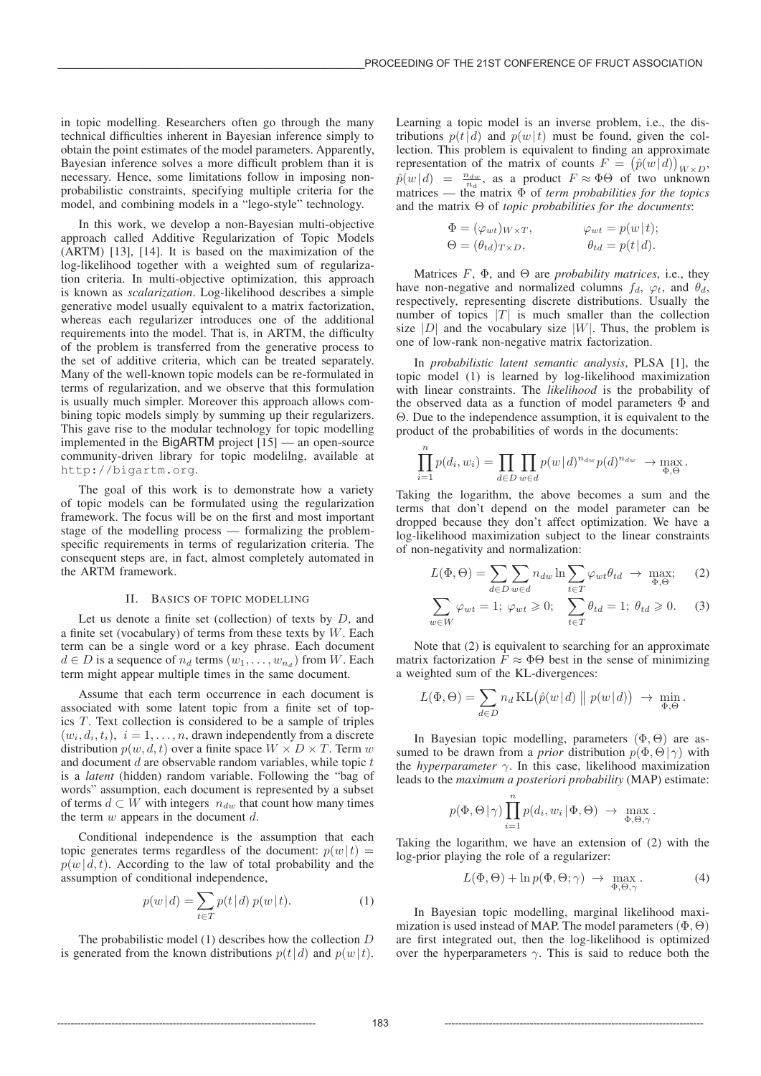in topic modelling. Researchers often go through the many technical difficulties inherent in Bayesian inference simply to obtain the point estimates of the model parameters. Apparently, Bayesian inference solves a more difficult problem than it is necessary. Hence, some limitations follow in imposing nonprobabilistic constraints, specifying multiple criteria for the model, and combining models in a "lego-style" technology.

In this work, we develop a non-Bayesian multi-objective approach called Additive Regularization of Topic Models (ARTM) [13], [14]. It is based on the maximization of the log-likelihood together with a weighted sum of regularization criteria. In multi-objective optimization, this approach is known as *scalarization*. Log-likelihood describes a simple generative model usually equivalent to a matrix factorization, whereas each regularizer introduces one of the additional requirements into the model. That is, in ARTM, the difficulty of the problem is transferred from the generative process to the set of additive criteria, which can be treated separately. Many of the well-known topic models can be re-formulated in terms of regularization, and we observe that this formulation is usually much simpler. Moreover this approach allows combining topic models simply by summing up their regularizers. This gave rise to the modular technology for topic modelling implemented in the BigARTM project [15] — an open-source community-driven library for topic modelilng, available at http://bigartm.org.

The goal of this work is to demonstrate how a variety of topic models can be formulated using the regularization framework. The focus will be on the first and most important stage of the modelling process — formalizing the problemspecific requirements in terms of regularization criteria. The consequent steps are, in fact, almost completely automated in the ARTM framework.

## II. BASICS OF TOPIC MODELLING

Let us denote a finite set (collection) of texts by  $D$ , and a finite set (vocabulary) of terms from these texts by  $W$ . Each term can be a single word or a key phrase. Each document  $d \in D$  is a sequence of  $n_d$  terms  $(w_1, \ldots, w_{n_d})$  from W. Each term might appear multiple times in the same document.

Assume that each term occurrence in each document is associated with some latent topic from a finite set of topics  $T$ . Text collection is considered to be a sample of triples  $(w_i, d_i, t_i), i = 1, \ldots, n$ , drawn independently from a discrete distribution  $p(w, d, t)$  over a finite space  $W \times D \times T$ . Term w and document  $d$  are observable random variables, while topic  $t$ is a *latent* (hidden) random variable. Following the "bag of words" assumption, each document is represented by a subset of terms  $d \subset \hat{W}$  with integers  $n_{dw}$  that count how many times the term  $w$  appears in the document  $d$ .

Conditional independence is the assumption that each topic generates terms regardless of the document:  $p(w|t)$  =  $p(w|d, t)$ . According to the law of total probability and the assumption of conditional independence,

$$
p(w|d) = \sum_{t \in T} p(t|d) p(w|t).
$$
 (1)

The probabilistic model (1) describes how the collection D is generated from the known distributions  $p(t|d)$  and  $p(w|t)$ . Learning a topic model is an inverse problem, i.e., the distributions  $p(t|d)$  and  $p(w|t)$  must be found, given the collection. This problem is equivalent to finding an approximate representation of the matrix of counts  $F = (\hat{p}(w|d))_{W \times D}$ ,  $\hat{p}(w|d) = \frac{n_{dw}}{n_d}$ , as a product  $F \approx \Phi \Theta$  of two unknown matrices — the matrix Φ of *term probabilities for the topics* and the matrix Θ of *topic probabilities for the documents*:

$$
\Phi = (\varphi_{wt})_{W \times T}, \qquad \varphi_{wt} = p(w | t);
$$
  
\n
$$
\Theta = (\theta_{td})_{T \times D}, \qquad \theta_{td} = p(t | d).
$$

Matrices  $F$ ,  $\Phi$ , and  $\Theta$  are *probability matrices*, i.e., they have non-negative and normalized columns  $f_d$ ,  $\varphi_t$ , and  $\theta_d$ , respectively, representing discrete distributions. Usually the number of topics  $|T|$  is much smaller than the collection size  $|D|$  and the vocabulary size  $|W|$ . Thus, the problem is one of low-rank non-negative matrix factorization.

In *probabilistic latent semantic analysis*, PLSA [1], the topic model (1) is learned by log-likelihood maximization with linear constraints. The *likelihood* is the probability of the observed data as a function of model parameters  $\Phi$  and Θ. Due to the independence assumption, it is equivalent to the product of the probabilities of words in the documents:

$$
\prod_{i=1}^n p(d_i, w_i) = \prod_{d \in D} \prod_{w \in d} p(w | d)^{n_{dw}} p(d)^{n_{dw}} \rightarrow \max_{\Phi, \Theta}.
$$

Taking the logarithm, the above becomes a sum and the terms that don't depend on the model parameter can be dropped because they don't affect optimization. We have a log-likelihood maximization subject to the linear constraints of non-negativity and normalization:

$$
L(\Phi, \Theta) = \sum_{d \in D} \sum_{w \in d} n_{dw} \ln \sum_{t \in T} \varphi_{wt} \theta_{td} \to \max_{\Phi, \Theta}; \quad (2)
$$

$$
\sum_{w \in W} \varphi_{wt} = 1; \ \varphi_{wt} \geq 0; \quad \sum_{t \in T} \theta_{td} = 1; \ \theta_{td} \geq 0. \tag{3}
$$

Note that (2) is equivalent to searching for an approximate matrix factorization  $\overline{F} \approx \Phi \Theta$  best in the sense of minimizing a weighted sum of the KL-divergences:

$$
L(\Phi, \Theta) = \sum_{d \in D} n_d \operatorname{KL}(\hat{p}(w | d) || p(w | d)) \rightarrow \min_{\Phi, \Theta}.
$$

In Bayesian topic modelling, parameters  $(\Phi, \Theta)$  are assumed to be drawn from a *prior* distribution  $p(\Phi, \Theta | \gamma)$  with the *hyperparameter* γ. In this case, likelihood maximization leads to the *maximum a posteriori probability* (MAP) estimate:

$$
p(\Phi, \Theta | \gamma) \prod_{i=1}^{n} p(d_i, w_i | \Phi, \Theta) \rightarrow \max_{\Phi, \Theta, \gamma}.
$$

Taking the logarithm, we have an extension of (2) with the log-prior playing the role of a regularizer:

$$
L(\Phi,\Theta) + \ln p(\Phi,\Theta;\gamma) \rightarrow \max_{\Phi,\Theta,\gamma}.
$$
 (4)

In Bayesian topic modelling, marginal likelihood maximization is used instead of MAP. The model parameters  $(\Phi, \Theta)$ are first integrated out, then the log-likelihood is optimized over the hyperparameters  $\gamma$ . This is said to reduce both the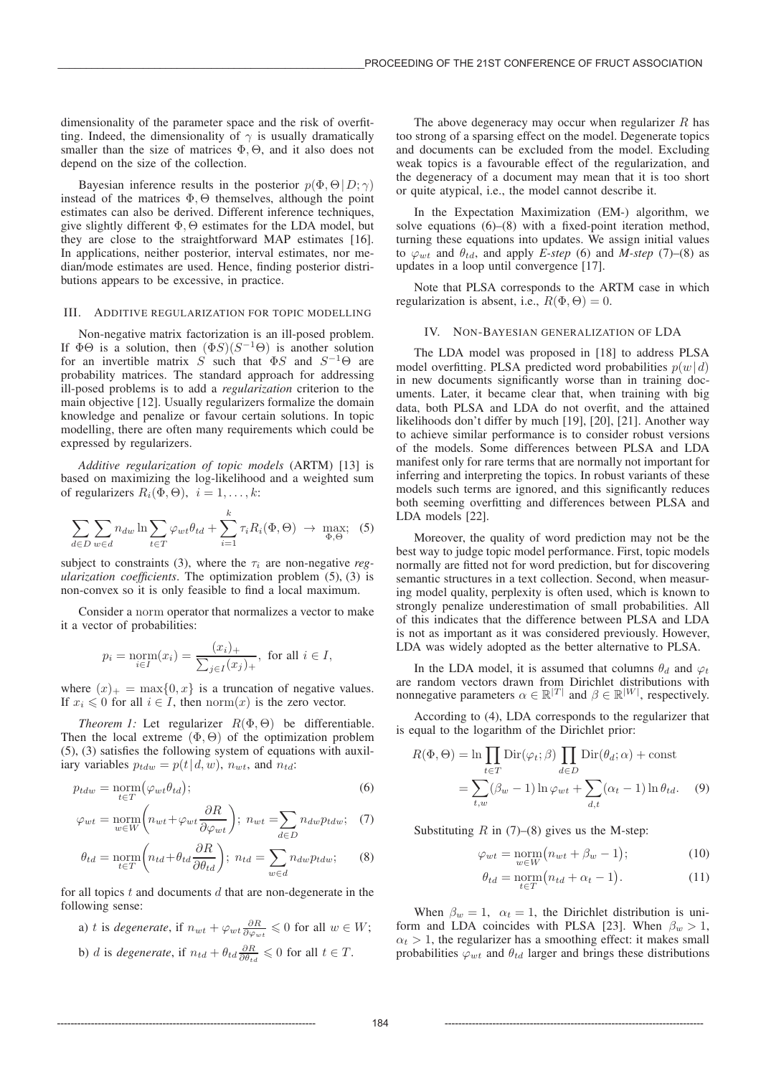dimensionality of the parameter space and the risk of overfitting. Indeed, the dimensionality of  $\gamma$  is usually dramatically smaller than the size of matrices  $\Phi$ ,  $\Theta$ , and it also does not depend on the size of the collection.

Bayesian inference results in the posterior  $p(\Phi, \Theta | D; \gamma)$ instead of the matrices  $\Phi$ ,  $\Theta$  themselves, although the point estimates can also be derived. Different inference techniques, give slightly different  $\Phi$ ,  $\Theta$  estimates for the LDA model, but they are close to the straightforward MAP estimates [16]. In applications, neither posterior, interval estimates, nor median/mode estimates are used. Hence, finding posterior distributions appears to be excessive, in practice.

## III. ADDITIVE REGULARIZATION FOR TOPIC MODELLING

Non-negative matrix factorization is an ill-posed problem. If  $\Phi\Theta$  is a solution, then  $(\Phi S)(S^{-1}\Theta)$  is another solution for an invertible matrix S such that  $\Phi S$  and  $S^{-1}\Theta$  are probability matrices. The standard approach for addressing ill-posed problems is to add a *regularization* criterion to the main objective [12]. Usually regularizers formalize the domain knowledge and penalize or favour certain solutions. In topic modelling, there are often many requirements which could be expressed by regularizers.

*Additive regularization of topic models* (ARTM) [13] is based on maximizing the log-likelihood and a weighted sum of regularizers  $R_i(\Phi, \Theta)$ ,  $i = 1, \ldots, k$ :

$$
\sum_{d \in D} \sum_{w \in d} n_{dw} \ln \sum_{t \in T} \varphi_{wt} \theta_{td} + \sum_{i=1}^k \tau_i R_i(\Phi, \Theta) \rightarrow \max_{\Phi, \Theta}; \quad (5)
$$

subject to constraints (3), where the  $\tau_i$  are non-negative *regularization coefficients*. The optimization problem (5), (3) is non-convex so it is only feasible to find a local maximum.

Consider a norm operator that normalizes a vector to make it a vector of probabilities:

$$
p_i = \operatorname*{norm}_{i \in I}(x_i) = \frac{(x_i)_+}{\sum_{j \in I} (x_j)_+}
$$
, for all  $i \in I$ ,

where  $(x)_{+} = \max\{0, x\}$  is a truncation of negative values. If  $x_i \leq 0$  for all  $i \in I$ , then norm $(x)$  is the zero vector.

*Theorem 1:* Let regularizer  $R(\Phi, \Theta)$  be differentiable. Then the local extreme  $(\Phi, \Theta)$  of the optimization problem (5), (3) satisfies the following system of equations with auxiliary variables  $p_{tdw} = p(t|d, w)$ ,  $n_{wt}$ , and  $n_{td}$ :

$$
p_{tdw} = \underset{t \in T}{\text{norm}} \big(\varphi_{wt} \theta_{td}\big); \tag{6}
$$

$$
\varphi_{wt} = \underset{w \in W}{\text{norm}} \bigg( n_{wt} + \varphi_{wt} \frac{\partial R}{\partial \varphi_{wt}} \bigg); \ n_{wt} = \sum_{d \in D} n_{dw} p_{tdw}; \quad (7)
$$

$$
\theta_{td} = \underset{t \in T}{\text{norm}} \bigg( n_{td} + \theta_{td} \frac{\partial R}{\partial \theta_{td}} \bigg); \ n_{td} = \sum_{w \in d} n_{dw} p_{tdw}; \tag{8}
$$

for all topics  $t$  and documents  $d$  that are non-degenerate in the following sense:

\n- a) 
$$
t
$$
 is degenerate, if  $n_{wt} + \varphi_{wt} \frac{\partial R}{\partial \varphi_{wt}} \leq 0$  for all  $w \in W$ ;
\n- b)  $d$  is degenerate, if  $n_{td} + \theta_{td} \frac{\partial R}{\partial \theta_{td}} \leq 0$  for all  $t \in T$ .
\n

The above degeneracy may occur when regularizer  $R$  has too strong of a sparsing effect on the model. Degenerate topics and documents can be excluded from the model. Excluding weak topics is a favourable effect of the regularization, and the degeneracy of a document may mean that it is too short or quite atypical, i.e., the model cannot describe it.

In the Expectation Maximization (EM-) algorithm, we solve equations (6)–(8) with a fixed-point iteration method, turning these equations into updates. We assign initial values to  $\varphi_{wt}$  and  $\theta_{td}$ , and apply *E-step* (6) and *M-step* (7)–(8) as updates in a loop until convergence [17].

Note that PLSA corresponds to the ARTM case in which regularization is absent, i.e.,  $R(\Phi, \Theta) = 0$ .

#### IV. NON-BAYESIAN GENERALIZATION OF LDA

The LDA model was proposed in [18] to address PLSA model overfitting. PLSA predicted word probabilities  $p(w|d)$ in new documents significantly worse than in training documents. Later, it became clear that, when training with big data, both PLSA and LDA do not overfit, and the attained likelihoods don't differ by much [19], [20], [21]. Another way to achieve similar performance is to consider robust versions of the models. Some differences between PLSA and LDA manifest only for rare terms that are normally not important for inferring and interpreting the topics. In robust variants of these models such terms are ignored, and this significantly reduces both seeming overfitting and differences between PLSA and LDA models [22].

Moreover, the quality of word prediction may not be the best way to judge topic model performance. First, topic models normally are fitted not for word prediction, but for discovering semantic structures in a text collection. Second, when measuring model quality, perplexity is often used, which is known to strongly penalize underestimation of small probabilities. All of this indicates that the difference between PLSA and LDA is not as important as it was considered previously. However, LDA was widely adopted as the better alternative to PLSA.

In the LDA model, it is assumed that columns  $\theta_d$  and  $\varphi_t$ are random vectors drawn from Dirichlet distributions with nonnegative parameters  $\alpha \in \mathbb{R}^{|T|}$  and  $\beta \in \mathbb{R}^{|W|}$ , respectively.

According to (4), LDA corresponds to the regularizer that is equal to the logarithm of the Dirichlet prior:

$$
R(\Phi, \Theta) = \ln \prod_{t \in T} \text{Dir}(\varphi_t; \beta) \prod_{d \in D} \text{Dir}(\theta_d; \alpha) + \text{const}
$$

$$
= \sum_{t, w} (\beta_w - 1) \ln \varphi_{wt} + \sum_{d, t} (\alpha_t - 1) \ln \theta_{td}. \tag{9}
$$

Substituting  $R$  in (7)–(8) gives us the M-step:

$$
\varphi_{wt} = \underset{w \in W}{\text{norm}} \big( n_{wt} + \beta_w - 1 \big); \tag{10}
$$

$$
\theta_{td} = \underset{t \in T}{\text{norm}} \big( n_{td} + \alpha_t - 1 \big). \tag{11}
$$

When  $\beta_w = 1$ ,  $\alpha_t = 1$ , the Dirichlet distribution is uniform and LDA coincides with PLSA [23]. When  $\beta_w > 1$ ,  $\alpha_t > 1$ , the regularizer has a smoothing effect: it makes small probabilities  $\varphi_{wt}$  and  $\theta_{td}$  larger and brings these distributions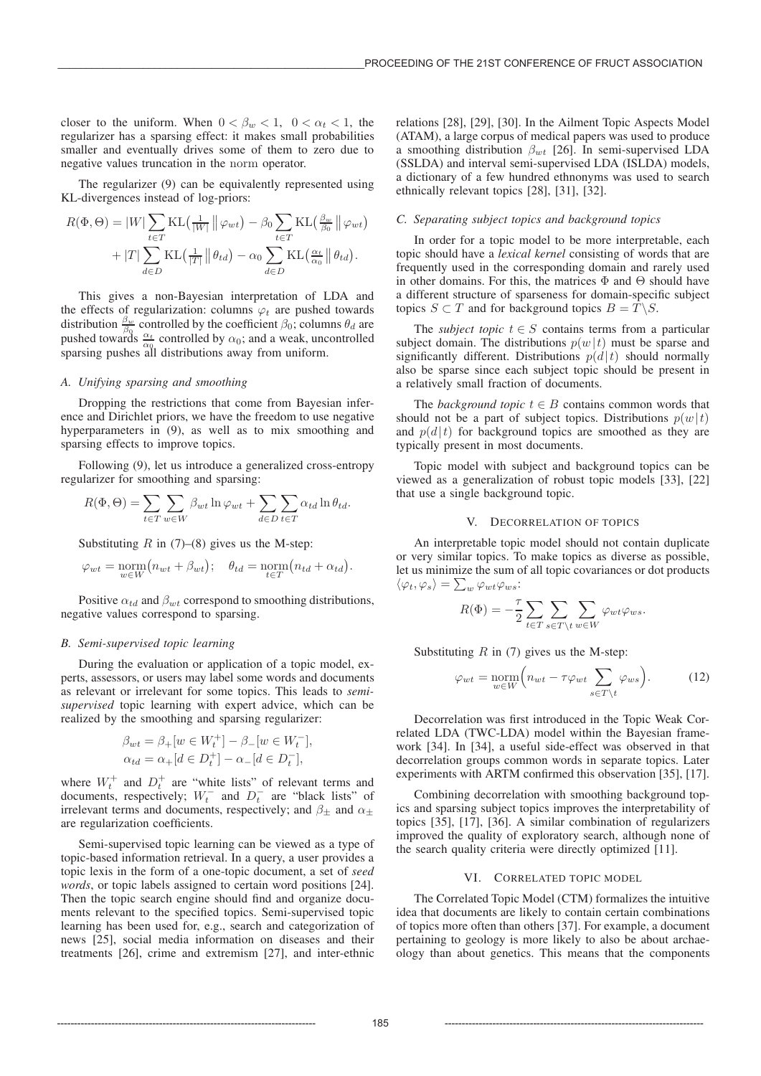closer to the uniform. When  $0 < \beta_w < 1$ ,  $0 < \alpha_t < 1$ , the regularizer has a sparsing effect: it makes small probabilities smaller and eventually drives some of them to zero due to negative values truncation in the norm operator.

The regularizer (9) can be equivalently represented using KL-divergences instead of log-priors:

$$
R(\Phi, \Theta) = |W| \sum_{t \in T} \text{KL}\left(\frac{1}{|W|} \| \varphi_{wt}\right) - \beta_0 \sum_{t \in T} \text{KL}\left(\frac{\beta_w}{\beta_0} \| \varphi_{wt}\right) + |T| \sum_{d \in D} \text{KL}\left(\frac{1}{|T|} \| \theta_{td}\right) - \alpha_0 \sum_{d \in D} \text{KL}\left(\frac{\alpha_t}{\alpha_0} \| \theta_{td}\right).
$$

This gives a non-Bayesian interpretation of LDA and the effects of regularization: columns  $\varphi_t$  are pushed towards distribution  $\frac{\beta_w}{\beta_0}$  controlled by the coefficient  $\beta_0$ ; columns  $\theta_d$  are pushed towards  $\frac{\alpha_t}{\alpha_0}$  controlled by  $\alpha_0$ ; and a weak, uncontrolled sparsing pushes all distributions away from uniform.

# *A. Unifying sparsing and smoothing*

Dropping the restrictions that come from Bayesian inference and Dirichlet priors, we have the freedom to use negative hyperparameters in  $(9)$ , as well as to mix smoothing and sparsing effects to improve topics.

Following (9), let us introduce a generalized cross-entropy regularizer for smoothing and sparsing:

$$
R(\Phi, \Theta) = \sum_{t \in T} \sum_{w \in W} \beta_{wt} \ln \varphi_{wt} + \sum_{d \in D} \sum_{t \in T} \alpha_{td} \ln \theta_{td}.
$$

Substituting  $R$  in (7)–(8) gives us the M-step:

$$
\varphi_{wt} = \underset{w \in W}{\text{norm}} \big( n_{wt} + \beta_{wt} \big); \quad \theta_{td} = \underset{t \in T}{\text{norm}} \big( n_{td} + \alpha_{td} \big).
$$

Positive  $\alpha_{td}$  and  $\beta_{wt}$  correspond to smoothing distributions, negative values correspond to sparsing.

#### *B. Semi-supervised topic learning*

During the evaluation or application of a topic model, experts, assessors, or users may label some words and documents as relevant or irrelevant for some topics. This leads to *semisupervised* topic learning with expert advice, which can be realized by the smoothing and sparsing regularizer:

$$
\begin{aligned} \beta_{wt} &= \beta_+[w \in W_t^+] - \beta_- [w \in W_t^-], \\ \alpha_{td} &= \alpha_+[d \in D_t^+] - \alpha_- [d \in D_t^-], \end{aligned}
$$

where  $W_t^+$  and  $D_t^+$  are "white lists" of relevant terms and documents, respectively;  $W_t^-$  and  $D_t^-$  are "black lists" of irrelevant terms and documents, respectively; and  $\beta_{\pm}$  and  $\alpha_{\pm}$ are regularization coefficients.

Semi-supervised topic learning can be viewed as a type of topic-based information retrieval. In a query, a user provides a topic lexis in the form of a one-topic document, a set of *seed words*, or topic labels assigned to certain word positions [24]. Then the topic search engine should find and organize documents relevant to the specified topics. Semi-supervised topic learning has been used for, e.g., search and categorization of news [25], social media information on diseases and their treatments [26], crime and extremism [27], and inter-ethnic

relations [28], [29], [30]. In the Ailment Topic Aspects Model (ATAM), a large corpus of medical papers was used to produce a smoothing distribution  $\beta_{wt}$  [26]. In semi-supervised LDA (SSLDA) and interval semi-supervised LDA (ISLDA) models, a dictionary of a few hundred ethnonyms was used to search ethnically relevant topics [28], [31], [32].

# *C. Separating subject topics and background topics*

In order for a topic model to be more interpretable, each topic should have a *lexical kernel* consisting of words that are frequently used in the corresponding domain and rarely used in other domains. For this, the matrices  $\Phi$  and  $\Theta$  should have a different structure of sparseness for domain-specific subject topics  $S \subset T$  and for background topics  $B = T \backslash S$ .

The *subject topic*  $t \in S$  contains terms from a particular subject domain. The distributions  $p(w|t)$  must be sparse and significantly different. Distributions  $p(d|t)$  should normally also be sparse since each subject topic should be present in a relatively small fraction of documents.

The *background topic*  $t \in B$  contains common words that should not be a part of subject topics. Distributions  $p(w|t)$ and  $p(d|t)$  for background topics are smoothed as they are typically present in most documents.

Topic model with subject and background topics can be viewed as a generalization of robust topic models [33], [22] that use a single background topic.

#### V. DECORRELATION OF TOPICS

An interpretable topic model should not contain duplicate or very similar topics. To make topics as diverse as possible, let us minimize the sum of all topic covariances or dot products  $\langle \varphi_t, \varphi_s \rangle = \sum_w \varphi_{wt} \varphi_{ws}$ 

$$
R(\Phi) = -\frac{\tau}{2} \sum_{t \in T} \sum_{s \in T \setminus t} \sum_{w \in W} \varphi_{wt} \varphi_{ws}.
$$

Substituting  $R$  in (7) gives us the M-step:

$$
\varphi_{wt} = \underset{w \in W}{\text{norm}} \left( n_{wt} - \tau \varphi_{wt} \sum_{s \in T \setminus t} \varphi_{ws} \right). \tag{12}
$$

Decorrelation was first introduced in the Topic Weak Correlated LDA (TWC-LDA) model within the Bayesian framework [34]. In [34], a useful side-effect was observed in that decorrelation groups common words in separate topics. Later experiments with ARTM confirmed this observation [35], [17].

Combining decorrelation with smoothing background topics and sparsing subject topics improves the interpretability of topics [35], [17], [36]. A similar combination of regularizers improved the quality of exploratory search, although none of the search quality criteria were directly optimized [11].

#### VI. CORRELATED TOPIC MODEL

The Correlated Topic Model (CTM) formalizes the intuitive idea that documents are likely to contain certain combinations of topics more often than others [37]. For example, a document pertaining to geology is more likely to also be about archaeology than about genetics. This means that the components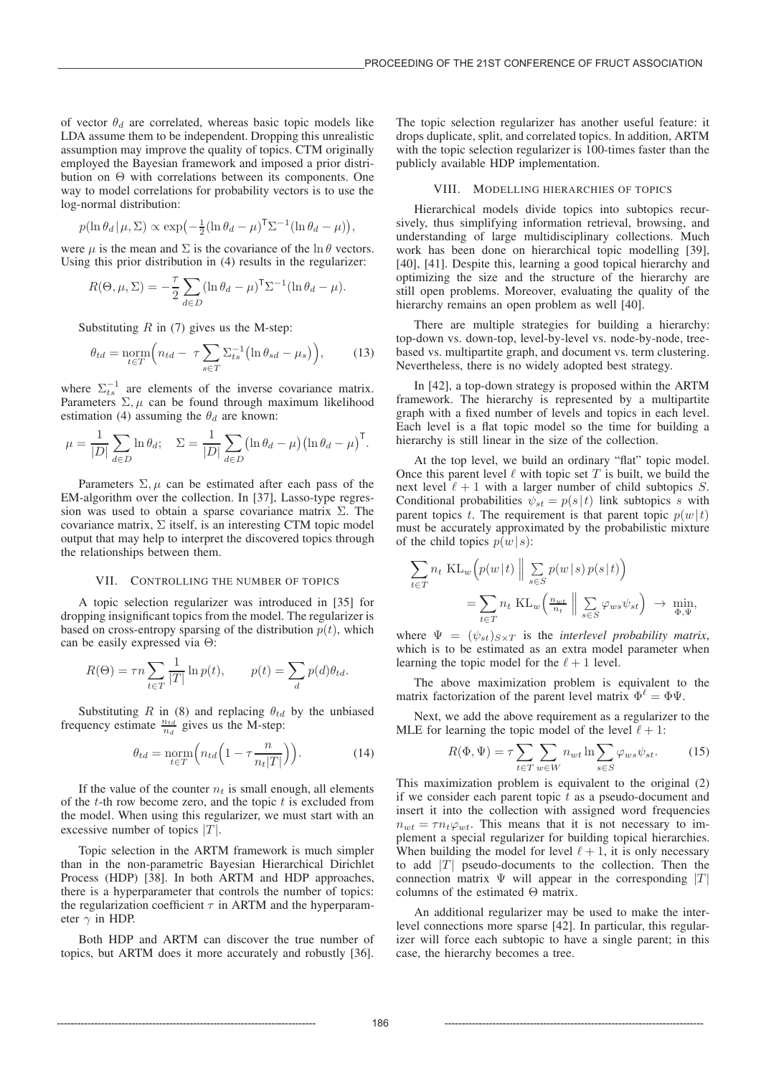of vector  $\theta_d$  are correlated, whereas basic topic models like LDA assume them to be independent. Dropping this unrealistic assumption may improve the quality of topics. CTM originally employed the Bayesian framework and imposed a prior distribution on Θ with correlations between its components. One way to model correlations for probability vectors is to use the log-normal distribution:

$$
p(\ln \theta_d | \mu, \Sigma) \propto \exp(-\frac{1}{2}(\ln \theta_d - \mu)^{\mathsf{T}} \Sigma^{-1}(\ln \theta_d - \mu)),
$$

were  $\mu$  is the mean and  $\Sigma$  is the covariance of the ln  $\theta$  vectors. Using this prior distribution in (4) results in the regularizer:

$$
R(\Theta, \mu, \Sigma) = -\frac{\tau}{2} \sum_{d \in D} (\ln \theta_d - \mu)^{\mathsf{T}} \Sigma^{-1} (\ln \theta_d - \mu).
$$

Substituting  $R$  in (7) gives us the M-step:

$$
\theta_{td} = \underset{t \in T}{\text{norm}} \Big( n_{td} - \tau \sum_{s \in T} \Sigma_{ts}^{-1} \big( \ln \theta_{sd} - \mu_s \big) \Big), \tag{13}
$$

where  $\Sigma_{ts}^{-1}$  are elements of the inverse covariance matrix. Parameters  $\Sigma, \mu$  can be found through maximum likelihood estimation (4) assuming the  $\theta_d$  are known:

$$
\mu = \frac{1}{|D|} \sum_{d \in D} \ln \theta_d; \quad \Sigma = \frac{1}{|D|} \sum_{d \in D} (\ln \theta_d - \mu) (\ln \theta_d - \mu)^{\mathsf{T}}.
$$

Parameters  $\Sigma$ ,  $\mu$  can be estimated after each pass of the EM-algorithm over the collection. In [37], Lasso-type regression was used to obtain a sparse covariance matrix  $\Sigma$ . The covariance matrix,  $\Sigma$  itself, is an interesting CTM topic model output that may help to interpret the discovered topics through the relationships between them.

## VII. CONTROLLING THE NUMBER OF TOPICS

A topic selection regularizer was introduced in [35] for dropping insignificant topics from the model. The regularizer is based on cross-entropy sparsing of the distribution  $p(t)$ , which can be easily expressed via Θ:

$$
R(\Theta) = \tau n \sum_{t \in T} \frac{1}{|T|} \ln p(t), \qquad p(t) = \sum_{d} p(d) \theta_{td}.
$$

Substituting R in (8) and replacing  $\theta_{td}$  by the unbiased frequency estimate  $\frac{n_{td}}{n_d}$  gives us the M-step:

$$
\theta_{td} = \underset{t \in T}{\text{norm}} \left( n_{td} \left( 1 - \tau \frac{n}{n_t |T|} \right) \right). \tag{14}
$$

If the value of the counter  $n_t$  is small enough, all elements of the  $t$ -th row become zero, and the topic  $t$  is excluded from the model. When using this regularizer, we must start with an excessive number of topics  $|T|$ .

Topic selection in the ARTM framework is much simpler than in the non-parametric Bayesian Hierarchical Dirichlet Process (HDP) [38]. In both ARTM and HDP approaches, there is a hyperparameter that controls the number of topics: the regularization coefficient  $\tau$  in ARTM and the hyperparameter  $\gamma$  in HDP.

Both HDP and ARTM can discover the true number of topics, but ARTM does it more accurately and robustly [36].

The topic selection regularizer has another useful feature: it drops duplicate, split, and correlated topics. In addition, ARTM with the topic selection regularizer is 100-times faster than the publicly available HDP implementation.

# VIII. MODELLING HIERARCHIES OF TOPICS

Hierarchical models divide topics into subtopics recursively, thus simplifying information retrieval, browsing, and understanding of large multidisciplinary collections. Much work has been done on hierarchical topic modelling [39], [40], [41]. Despite this, learning a good topical hierarchy and optimizing the size and the structure of the hierarchy are still open problems. Moreover, evaluating the quality of the hierarchy remains an open problem as well [40].

There are multiple strategies for building a hierarchy: top-down vs. down-top, level-by-level vs. node-by-node, treebased vs. multipartite graph, and document vs. term clustering. Nevertheless, there is no widely adopted best strategy.

In [42], a top-down strategy is proposed within the ARTM framework. The hierarchy is represented by a multipartite graph with a fixed number of levels and topics in each level. Each level is a flat topic model so the time for building a hierarchy is still linear in the size of the collection.

At the top level, we build an ordinary "flat" topic model. Once this parent level  $\ell$  with topic set  $T$  is built, we build the next level  $\ell + 1$  with a larger number of child subtopics S. Conditional probabilities  $\psi_{st} = p(s|t)$  link subtopics s with parent topics t. The requirement is that parent topic  $p(w|t)$ must be accurately approximated by the probabilistic mixture of the child topics  $p(w|s)$ :

$$
\sum_{t \in T} n_t \operatorname{KL}_w(p(w|t) \| \sum_{s \in S} p(w|s) p(s|t))
$$
  
= 
$$
\sum_{t \in T} n_t \operatorname{KL}_w\left(\frac{n_{wt}}{n_t} \| \sum_{s \in S} \varphi_{ws} \psi_{st}\right) \to \min_{\Phi, \Psi},
$$

where  $\Psi = (\psi_{st})_{S \times T}$  is the *interlevel probability matrix*, which is to be estimated as an extra model parameter when learning the topic model for the  $\ell + 1$  level.

The above maximization problem is equivalent to the matrix factorization of the parent level matrix  $\Phi^{\ell} = \Phi \Psi$ .

Next, we add the above requirement as a regularizer to the MLE for learning the topic model of the level  $\ell + 1$ :

$$
R(\Phi, \Psi) = \tau \sum_{t \in T} \sum_{w \in W} n_{wt} \ln \sum_{s \in S} \varphi_{ws} \psi_{st}.
$$
 (15)

This maximization problem is equivalent to the original (2) if we consider each parent topic  $t$  as a pseudo-document and insert it into the collection with assigned word frequencies  $n_{wt} = \tau n_t \varphi_{wt}$ . This means that it is not necessary to implement a special regularizer for building topical hierarchies. When building the model for level  $\ell + 1$ , it is only necessary to add  $|T|$  pseudo-documents to the collection. Then the connection matrix  $\Psi$  will appear in the corresponding |T| columns of the estimated Θ matrix.

An additional regularizer may be used to make the interlevel connections more sparse [42]. In particular, this regularizer will force each subtopic to have a single parent; in this case, the hierarchy becomes a tree.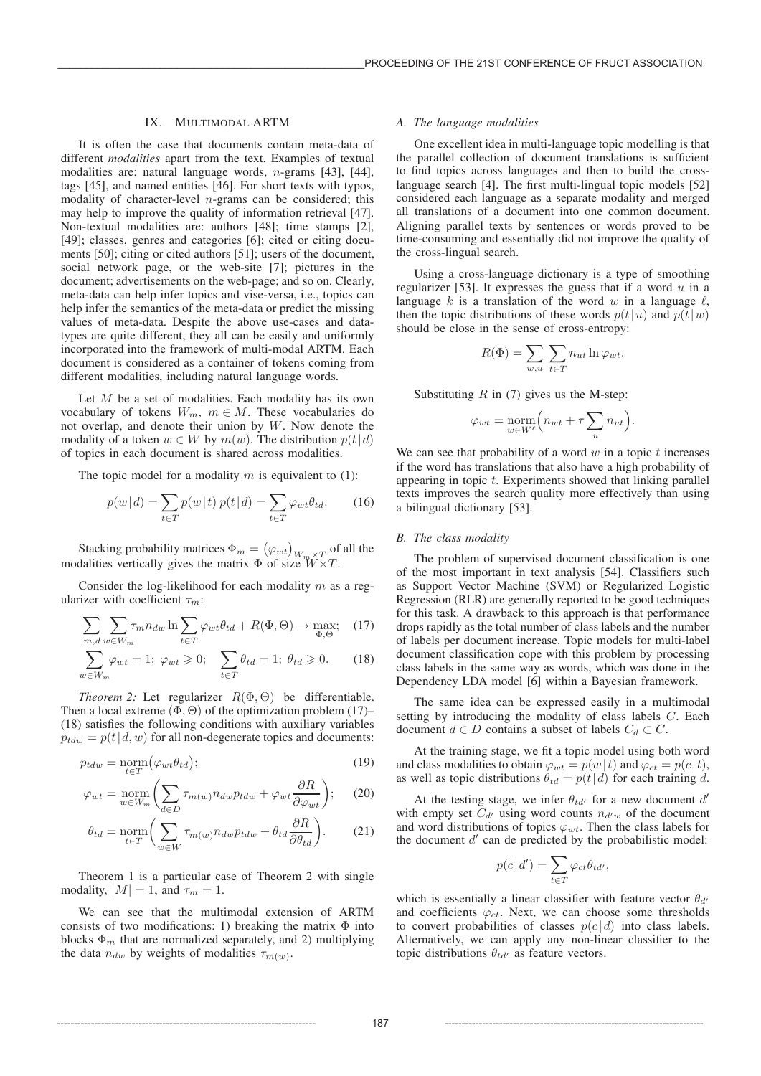## IX. MULTIMODAL ARTM

It is often the case that documents contain meta-data of different *modalities* apart from the text. Examples of textual modalities are: natural language words, n-grams [43], [44], tags [45], and named entities [46]. For short texts with typos, modality of character-level  $n$ -grams can be considered; this may help to improve the quality of information retrieval [47]. Non-textual modalities are: authors [48]; time stamps [2], [49]; classes, genres and categories [6]; cited or citing documents [50]; citing or cited authors [51]; users of the document, social network page, or the web-site [7]; pictures in the document; advertisements on the web-page; and so on. Clearly, meta-data can help infer topics and vise-versa, i.e., topics can help infer the semantics of the meta-data or predict the missing values of meta-data. Despite the above use-cases and datatypes are quite different, they all can be easily and uniformly incorporated into the framework of multi-modal ARTM. Each document is considered as a container of tokens coming from different modalities, including natural language words.

Let  $M$  be a set of modalities. Each modality has its own vocabulary of tokens  $W_m$ ,  $m \in M$ . These vocabularies do not overlap, and denote their union by W. Now denote the modality of a token  $w \in W$  by  $m(w)$ . The distribution  $p(t|d)$ of topics in each document is shared across modalities.

The topic model for a modality m is equivalent to  $(1)$ :

$$
p(w|d) = \sum_{t \in T} p(w|t) p(t|d) = \sum_{t \in T} \varphi_{wt} \theta_{td}.
$$
 (16)

Stacking probability matrices  $\Phi_m = (\varphi_{wt})_{W_m \times T}$  of all the modalities vertically gives the matrix  $\Phi$  of size  $\hat{W}^T \times T$ .

Consider the log-likelihood for each modality  $m$  as a regularizer with coefficient  $\tau_m$ :

$$
\sum_{m,d} \sum_{w \in W_m} \tau_m n_{dw} \ln \sum_{t \in T} \varphi_{wt} \theta_{td} + R(\Phi, \Theta) \to \max_{\Phi, \Theta}; \quad (17)
$$

$$
\sum_{w \in W_m} \varphi_{wt} = 1; \ \varphi_{wt} \geq 0; \quad \sum_{t \in T} \theta_{td} = 1; \ \theta_{td} \geq 0. \tag{18}
$$

*Theorem 2:* Let regularizer  $R(\Phi, \Theta)$  be differentiable. Then a local extreme  $(\Phi, \Theta)$  of the optimization problem (17)– (18) satisfies the following conditions with auxiliary variables  $p_{tdw} = p(t|d, w)$  for all non-degenerate topics and documents:

$$
p_{tdw} = \underset{t \in T}{\text{norm}} (\varphi_{wt} \theta_{td}); \tag{19}
$$

$$
\varphi_{wt} = \underset{w \in W_m}{\text{norm}} \bigg( \sum_{d \in D} \tau_{m(w)} n_{dw} p_{tdw} + \varphi_{wt} \frac{\partial R}{\partial \varphi_{wt}} \bigg); \quad (20)
$$

$$
\theta_{td} = \underset{t \in T}{\text{norm}} \bigg( \sum_{w \in W} \tau_{m(w)} n_{dw} p_{tdw} + \theta_{td} \frac{\partial R}{\partial \theta_{td}} \bigg). \tag{21}
$$

Theorem 1 is a particular case of Theorem 2 with single modality,  $|M| = 1$ , and  $\tau_m = 1$ .

We can see that the multimodal extension of ARTM consists of two modifications: 1) breaking the matrix  $\Phi$  into blocks  $\Phi_m$  that are normalized separately, and 2) multiplying the data  $n_{dw}$  by weights of modalities  $\tau_{m(w)}$ .

# *A. The language modalities*

One excellent idea in multi-language topic modelling is that the parallel collection of document translations is sufficient to find topics across languages and then to build the crosslanguage search [4]. The first multi-lingual topic models [52] considered each language as a separate modality and merged all translations of a document into one common document. Aligning parallel texts by sentences or words proved to be time-consuming and essentially did not improve the quality of the cross-lingual search.

Using a cross-language dictionary is a type of smoothing regularizer [53]. It expresses the guess that if a word  $u$  in a language k is a translation of the word w in a language  $\ell$ , then the topic distributions of these words  $p(t|u)$  and  $p(t|w)$ should be close in the sense of cross-entropy:

$$
R(\Phi) = \sum_{w,u} \sum_{t \in T} n_{ut} \ln \varphi_{wt}.
$$

Substituting  $R$  in (7) gives us the M-step:

$$
\varphi_{wt} = \underset{w \in W^{\ell}}{\text{norm}} \Big( n_{wt} + \tau \sum_{u} n_{ut} \Big).
$$

We can see that probability of a word  $w$  in a topic  $t$  increases if the word has translations that also have a high probability of appearing in topic  $t$ . Experiments showed that linking parallel texts improves the search quality more effectively than using a bilingual dictionary [53].

# *B. The class modality*

The problem of supervised document classification is one of the most important in text analysis [54]. Classifiers such as Support Vector Machine (SVM) or Regularized Logistic Regression (RLR) are generally reported to be good techniques for this task. A drawback to this approach is that performance drops rapidly as the total number of class labels and the number of labels per document increase. Topic models for multi-label document classification cope with this problem by processing class labels in the same way as words, which was done in the Dependency LDA model [6] within a Bayesian framework.

The same idea can be expressed easily in a multimodal setting by introducing the modality of class labels C. Each document  $d \in D$  contains a subset of labels  $C_d \subset C$ .

At the training stage, we fit a topic model using both word and class modalities to obtain  $\varphi_{wt} = p(w|t)$  and  $\varphi_{ct} = p(c|t)$ , as well as topic distributions  $\theta_{td} = p(t|d)$  for each training d.

At the testing stage, we infer  $\theta_{td}$  for a new document d' with empty set  $C_{d'}$  using word counts  $n_{d'w}$  of the document and word distributions of topics  $\varphi_{wt}$ . Then the class labels for the document  $d'$  can de predicted by the probabilistic model:

$$
p(c|d') = \sum_{t \in T} \varphi_{ct} \theta_{td'},
$$

which is essentially a linear classifier with feature vector  $\theta_{d}$ and coefficients  $\varphi_{ct}$ . Next, we can choose some thresholds to convert probabilities of classes  $p(c | d)$  into class labels. Alternatively, we can apply any non-linear classifier to the topic distributions  $\theta_{td}$  as feature vectors.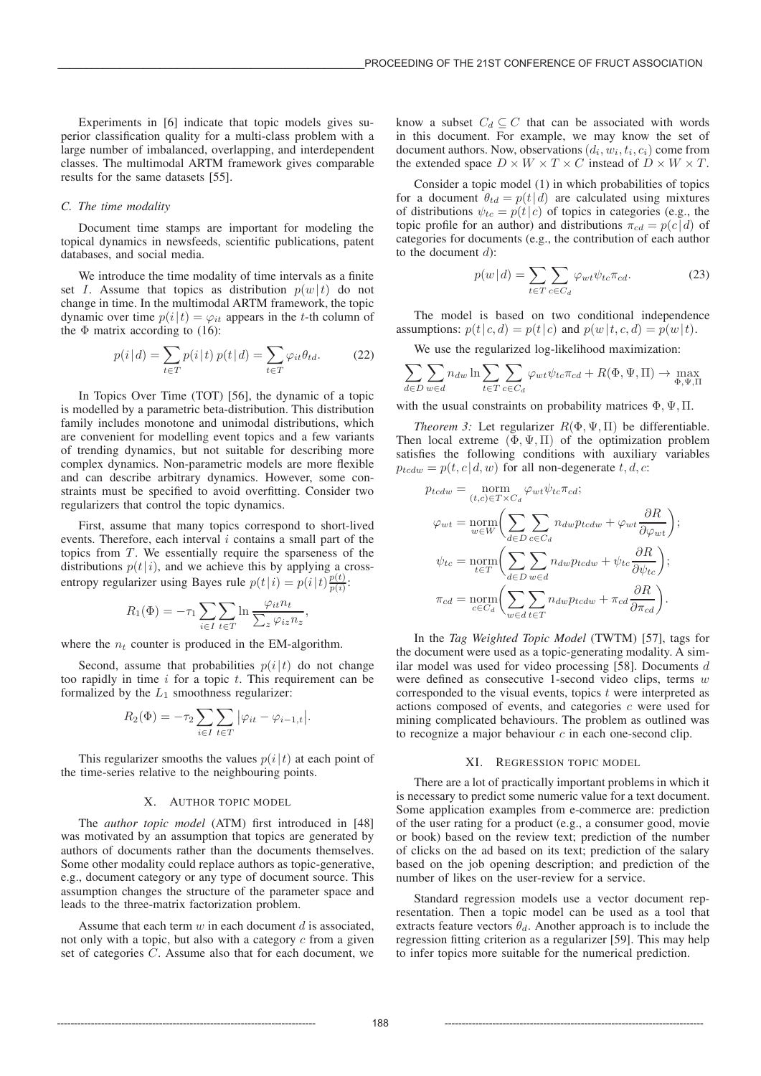Experiments in [6] indicate that topic models gives superior classification quality for a multi-class problem with a large number of imbalanced, overlapping, and interdependent classes. The multimodal ARTM framework gives comparable results for the same datasets [55].

#### *C. The time modality*

Document time stamps are important for modeling the topical dynamics in newsfeeds, scientific publications, patent databases, and social media.

We introduce the time modality of time intervals as a finite set I. Assume that topics as distribution  $p(w|t)$  do not change in time. In the multimodal ARTM framework, the topic dynamic over time  $p(i|t) = \varphi_{it}$  appears in the t-th column of the  $\Phi$  matrix according to (16):

$$
p(i|d) = \sum_{t \in T} p(i|t) p(t|d) = \sum_{t \in T} \varphi_{it} \theta_{td}.
$$
 (22)

In Topics Over Time (TOT) [56], the dynamic of a topic is modelled by a parametric beta-distribution. This distribution family includes monotone and unimodal distributions, which are convenient for modelling event topics and a few variants of trending dynamics, but not suitable for describing more complex dynamics. Non-parametric models are more flexible and can describe arbitrary dynamics. However, some constraints must be specified to avoid overfitting. Consider two regularizers that control the topic dynamics.

First, assume that many topics correspond to short-lived events. Therefore, each interval  $i$  contains a small part of the topics from  $T$ . We essentially require the sparseness of the distributions  $p(t|i)$ , and we achieve this by applying a crossentropy regularizer using Bayes rule  $p(t|i) = p(i|t) \frac{p(t)}{p(i)}$ :

$$
R_1(\Phi) = -\tau_1 \sum_{i \in I} \sum_{t \in T} \ln \frac{\varphi_{it} n_t}{\sum_z \varphi_{iz} n_z},
$$

where the  $n_t$  counter is produced in the EM-algorithm.

Second, assume that probabilities  $p(i|t)$  do not change too rapidly in time  $i$  for a topic  $t$ . This requirement can be formalized by the  $L_1$  smoothness regularizer:

$$
R_2(\Phi) = -\tau_2 \sum_{i \in I} \sum_{t \in T} |\varphi_{it} - \varphi_{i-1,t}|.
$$

This regularizer smooths the values  $p(i|t)$  at each point of the time-series relative to the neighbouring points.

#### X. AUTHOR TOPIC MODEL

The *author topic model* (ATM) first introduced in [48] was motivated by an assumption that topics are generated by authors of documents rather than the documents themselves. Some other modality could replace authors as topic-generative, e.g., document category or any type of document source. This assumption changes the structure of the parameter space and leads to the three-matrix factorization problem.

Assume that each term  $w$  in each document  $d$  is associated, not only with a topic, but also with a category  $c$  from a given set of categories C. Assume also that for each document, we

know a subset  $C_d \subseteq C$  that can be associated with words in this document. For example, we may know the set of document authors. Now, observations  $(d_i, w_i, t_i, c_i)$  come from the extended space  $D \times W \times T \times C$  instead of  $D \times W \times T$ .

Consider a topic model (1) in which probabilities of topics for a document  $\theta_{td} = p(t|d)$  are calculated using mixtures of distributions  $\psi_{tc} = p(t|c)$  of topics in categories (e.g., the topic profile for an author) and distributions  $\pi_{cd} = p(c | d)$  of categories for documents (e.g., the contribution of each author to the document  $d$ :

$$
p(w|d) = \sum_{t \in T} \sum_{c \in C_d} \varphi_{wt} \psi_{tc} \pi_{cd}.
$$
 (23)

The model is based on two conditional independence assumptions:  $p(t|c, d) = p(t|c)$  and  $p(w|t, c, d) = p(w|t)$ .

We use the regularized log-likelihood maximization:

$$
\sum_{d \in D} \sum_{w \in d} n_{dw} \ln \sum_{t \in T} \sum_{c \in C_d} \varphi_{wt} \psi_{tc} \pi_{cd} + R(\Phi, \Psi, \Pi) \to \max_{\Phi, \Psi, \Pi}
$$

with the usual constraints on probability matrices  $\Phi$ ,  $\Psi$ ,  $\Pi$ .

*Theorem 3:* Let regularizer  $R(\Phi, \Psi, \Pi)$  be differentiable. Then local extreme  $(\Phi, \Psi, \Pi)$  of the optimization problem satisfies the following conditions with auxiliary variables  $p_{tcdw} = p(t, c | d, w)$  for all non-degenerate  $t, d, c$ :

$$
p_{tcdw} = \underset{(t,c) \in T \times C_d}{\text{norm}} \varphi_{wt} \psi_{tc} \pi_{cd};
$$

$$
\varphi_{wt} = \underset{w \in W}{\text{norm}} \bigg( \sum_{d \in D} \sum_{c \in C_d} n_{dw} p_{tcdw} + \varphi_{wt} \frac{\partial R}{\partial \varphi_{wt}} \bigg);
$$

$$
\psi_{tc} = \underset{t \in T}{\text{norm}} \bigg( \sum_{d \in D} \sum_{w \in d} n_{dw} p_{tcdw} + \psi_{tc} \frac{\partial R}{\partial \psi_{tc}} \bigg);
$$

$$
\pi_{cd} = \underset{c \in C_d}{\text{norm}} \bigg( \sum_{w \in d} \sum_{t \in T} n_{dw} p_{tcdw} + \pi_{cd} \frac{\partial R}{\partial \pi_{cd}} \bigg).
$$

In the *Tag Weighted Topic Model* (TWTM) [57], tags for the document were used as a topic-generating modality. A similar model was used for video processing [58]. Documents d were defined as consecutive 1-second video clips, terms w corresponded to the visual events, topics  $t$  were interpreted as actions composed of events, and categories  $c$  were used for mining complicated behaviours. The problem as outlined was to recognize a major behaviour  $c$  in each one-second clip.

#### XI. REGRESSION TOPIC MODEL

There are a lot of practically important problems in which it is necessary to predict some numeric value for a text document. Some application examples from e-commerce are: prediction of the user rating for a product (e.g., a consumer good, movie or book) based on the review text; prediction of the number of clicks on the ad based on its text; prediction of the salary based on the job opening description; and prediction of the number of likes on the user-review for a service.

Standard regression models use a vector document representation. Then a topic model can be used as a tool that extracts feature vectors  $\theta_d$ . Another approach is to include the regression fitting criterion as a regularizer [59]. This may help to infer topics more suitable for the numerical prediction.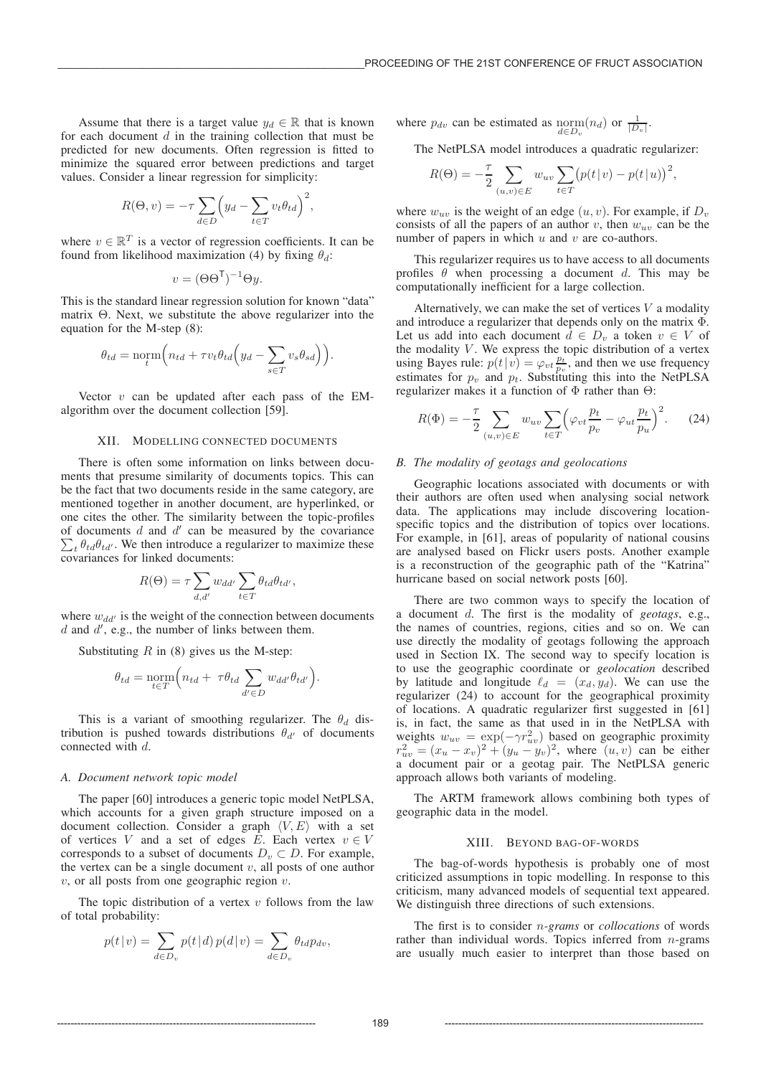Assume that there is a target value  $y_d \in \mathbb{R}$  that is known for each document  $d$  in the training collection that must be predicted for new documents. Often regression is fitted to minimize the squared error between predictions and target values. Consider a linear regression for simplicity:

$$
R(\Theta, v) = -\tau \sum_{d \in D} \left( y_d - \sum_{t \in T} v_t \theta_{td} \right)^2,
$$

where  $v \in \mathbb{R}^T$  is a vector of regression coefficients. It can be found from likelihood maximization (4) by fixing  $\theta_d$ :

$$
v = (\Theta \Theta^{\mathsf{T}})^{-1} \Theta y.
$$

This is the standard linear regression solution for known "data" matrix Θ. Next, we substitute the above regularizer into the equation for the M-step (8):

$$
\theta_{td} = \operatorname{norm}\left(n_{td} + \tau v_t \theta_{td} \left(y_d - \sum_{s \in T} v_s \theta_{sd}\right)\right).
$$

Vector  $v$  can be updated after each pass of the EMalgorithm over the document collection [59].

## XII. MODELLING CONNECTED DOCUMENTS

There is often some information on links between documents that presume similarity of documents topics. This can be the fact that two documents reside in the same category, are mentioned together in another document, are hyperlinked, or one cites the other. The similarity between the topic-profiles of documents  $d$  and  $d'$  can be measured by the covariance  $\sum_{t} \theta_{td} \theta_{td'}$ . We then introduce a regularizer to maximize these covariances for linked documents:

$$
R(\Theta) = \tau \sum_{d,d'} w_{dd'} \sum_{t \in T} \theta_{td} \theta_{td'},
$$

where  $w_{dd'}$  is the weight of the connection between documents  $d$  and  $d'$ , e.g., the number of links between them.

Substituting  $R$  in (8) gives us the M-step:

$$
\theta_{td} = \underset{t \in T}{\text{norm}} \Big( n_{td} + \tau \theta_{td} \sum_{d' \in D} w_{dd'} \theta_{td'} \Big).
$$

This is a variant of smoothing regularizer. The  $\theta_d$  distribution is pushed towards distributions  $\theta_{d'}$  of documents connected with d.

## *A. Document network topic model*

The paper [60] introduces a generic topic model NetPLSA, which accounts for a given graph structure imposed on a document collection. Consider a graph  $\langle V, E \rangle$  with a set of vertices V and a set of edges E. Each vertex  $v \in V$ corresponds to a subset of documents  $D_v \subset D$ . For example, the vertex can be a single document  $v$ , all posts of one author  $v$ , or all posts from one geographic region  $v$ .

The topic distribution of a vertex  $v$  follows from the law of total probability:

$$
p(t|v) = \sum_{d \in D_v} p(t|d) p(d|v) = \sum_{d \in D_v} \theta_{td} p_{dv},
$$

where  $p_{dv}$  can be estimated as  $\underset{d \in D_v}{\text{norm}}(n_d)$  or  $\frac{1}{|D_v|}$ .

The NetPLSA model introduces a quadratic regularizer:

$$
R(\Theta) = -\frac{\tau}{2} \sum_{(u,v)\in E} w_{uv} \sum_{t \in T} (p(t|v) - p(t|u))^2,
$$

where  $w_{uv}$  is the weight of an edge  $(u, v)$ . For example, if  $D_v$ consists of all the papers of an author v, then  $w_{uv}$  can be the number of papers in which  $u$  and  $v$  are co-authors.

This regularizer requires us to have access to all documents profiles  $\theta$  when processing a document d. This may be computationally inefficient for a large collection.

Alternatively, we can make the set of vertices  $V$  a modality and introduce a regularizer that depends only on the matrix Φ. Let us add into each document  $d \in D_v$  a token  $v \in V$  of the modality  $V$ . We express the topic distribution of a vertex using Bayes rule:  $p(t|v) = \varphi_{vt} \frac{p_t}{p_v}$ , and then we use frequency estimates for  $p_v$  and  $p_t$ . Substituting this into the NetPLSA regularizer makes it a function of Φ rather than Θ:

$$
R(\Phi) = -\frac{\tau}{2} \sum_{(u,v)\in E} w_{uv} \sum_{t\in T} \left(\varphi_{vt} \frac{p_t}{p_v} - \varphi_{ut} \frac{p_t}{p_u}\right)^2.
$$
 (24)

#### *B. The modality of geotags and geolocations*

Geographic locations associated with documents or with their authors are often used when analysing social network data. The applications may include discovering locationspecific topics and the distribution of topics over locations. For example, in [61], areas of popularity of national cousins are analysed based on Flickr users posts. Another example is a reconstruction of the geographic path of the "Katrina" hurricane based on social network posts [60].

There are two common ways to specify the location of a document d. The first is the modality of *geotags*, e.g., the names of countries, regions, cities and so on. We can use directly the modality of geotags following the approach used in Section IX. The second way to specify location is to use the geographic coordinate or *geolocation* described by latitude and longitude  $\ell_d = (x_d, y_d)$ . We can use the regularizer (24) to account for the geographical proximity of locations. A quadratic regularizer first suggested in [61] is, in fact, the same as that used in in the NetPLSA with weights  $w_{uv} = \exp(-\gamma r_{uv}^2)$  based on geographic proximity  $r_{uv}^2 = (x_u - x_v)^2 + (y_u - y_v)^2$ , where  $(u, v)$  can be either a document pair or a geotag pair. The NetPLSA generic approach allows both variants of modeling.

The ARTM framework allows combining both types of geographic data in the model.

## XIII. BEYOND BAG-OF-WORDS

The bag-of-words hypothesis is probably one of most criticized assumptions in topic modelling. In response to this criticism, many advanced models of sequential text appeared. We distinguish three directions of such extensions.

The first is to consider n*-grams* or *collocations* of words rather than individual words. Topics inferred from  $n$ -grams are usually much easier to interpret than those based on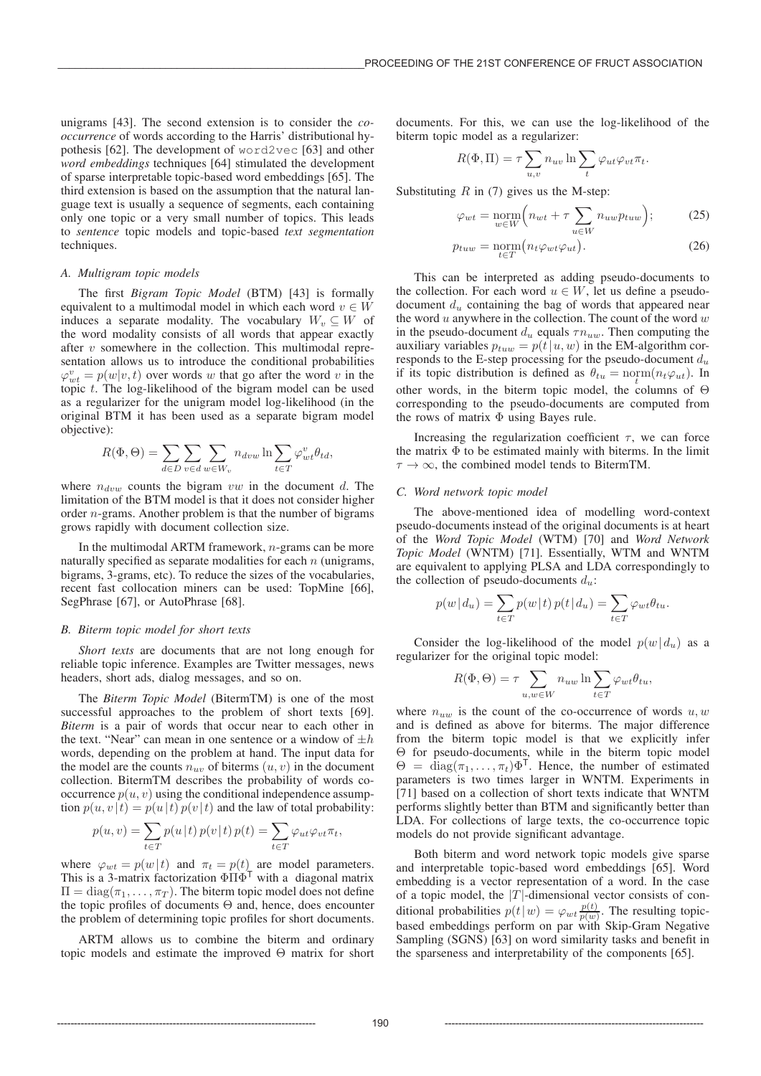unigrams [43]. The second extension is to consider the *cooccurrence* of words according to the Harris' distributional hypothesis [62]. The development of word2vec [63] and other *word embeddings* techniques [64] stimulated the development of sparse interpretable topic-based word embeddings [65]. The third extension is based on the assumption that the natural language text is usually a sequence of segments, each containing only one topic or a very small number of topics. This leads to *sentence* topic models and topic-based *text segmentation* techniques.

# *A. Multigram topic models*

The first *Bigram Topic Model* (BTM) [43] is formally equivalent to a multimodal model in which each word  $v \in W$ induces a separate modality. The vocabulary  $W_v \subseteq W$  of the word modality consists of all words that appear exactly after  $v$  somewhere in the collection. This multimodal representation allows us to introduce the conditional probabilities  $\varphi_{wt}^v = p(w|v,t)$  over words w that go after the word v in the topic t. The log-likelihood of the bigram model can be used as a regularizer for the unigram model log-likelihood (in the original BTM it has been used as a separate bigram model objective):

$$
R(\Phi, \Theta) = \sum_{d \in D} \sum_{v \in d} \sum_{w \in W_v} n_{dvw} \ln \sum_{t \in T} \varphi_{wt}^v \theta_{td},
$$

where  $n_{dvw}$  counts the bigram vw in the document d. The limitation of the BTM model is that it does not consider higher order n-grams. Another problem is that the number of bigrams grows rapidly with document collection size.

In the multimodal ARTM framework, n-grams can be more naturally specified as separate modalities for each  $n$  (unigrams, bigrams, 3-grams, etc). To reduce the sizes of the vocabularies, recent fast collocation miners can be used: TopMine [66], SegPhrase [67], or AutoPhrase [68].

#### *B. Biterm topic model for short texts*

*Short texts* are documents that are not long enough for reliable topic inference. Examples are Twitter messages, news headers, short ads, dialog messages, and so on.

The *Biterm Topic Model* (BitermTM) is one of the most successful approaches to the problem of short texts [69]. *Biterm* is a pair of words that occur near to each other in the text. "Near" can mean in one sentence or a window of  $\pm h$ words, depending on the problem at hand. The input data for the model are the counts  $n_{uv}$  of biterms  $(u, v)$  in the document collection. BitermTM describes the probability of words cooccurrence  $p(u, v)$  using the conditional independence assumption  $p(u, v | t) = p(u | t) p(v | t)$  and the law of total probability:

$$
p(u, v) = \sum_{t \in T} p(u|t) p(v|t) p(t) = \sum_{t \in T} \varphi_{ut} \varphi_{vt} \pi_t,
$$

where  $\varphi_{wt} = p(w|t)$  and  $\pi_t = p(t)$  are model parameters. This is a 3-matrix factorization  $\Phi \Pi \Phi^{\top}$  with a diagonal matrix  $\Pi = \text{diag}(\pi_1, \ldots, \pi_T)$ . The biterm topic model does not define the topic profiles of documents Θ and, hence, does encounter the problem of determining topic profiles for short documents.

ARTM allows us to combine the biterm and ordinary topic models and estimate the improved Θ matrix for short documents. For this, we can use the log-likelihood of the biterm topic model as a regularizer:

$$
R(\Phi, \Pi) = \tau \sum_{u,v} n_{uv} \ln \sum_{t} \varphi_{ut} \varphi_{vt} \pi_t.
$$

Substituting  $R$  in (7) gives us the M-step:

$$
\varphi_{wt} = \underset{w \in W}{\text{norm}} \Big( n_{wt} + \tau \sum_{u \in W} n_{uw} p_{tuw} \Big); \tag{25}
$$

$$
p_{tuw} = \underset{t \in T}{\text{norm}} \left( n_t \varphi_{wt} \varphi_{ut} \right). \tag{26}
$$

This can be interpreted as adding pseudo-documents to the collection. For each word  $u \in W$ , let us define a pseudodocument  $d_u$  containing the bag of words that appeared near the word  $u$  anywhere in the collection. The count of the word  $w$ in the pseudo-document  $d_u$  equals  $\tau n_{uw}$ . Then computing the auxiliary variables  $p_{tuw} = p(t|u, w)$  in the EM-algorithm corresponds to the E-step processing for the pseudo-document  $d_u$ if its topic distribution is defined as  $\theta_{tu} = \text{norm}(n_t \varphi_{ut})$ . In other words, in the biterm topic model, the columns of  $\Theta$ corresponding to the pseudo-documents are computed from the rows of matrix  $\Phi$  using Bayes rule.

Increasing the regularization coefficient  $\tau$ , we can force the matrix  $\Phi$  to be estimated mainly with biterms. In the limit  $\tau \to \infty$ , the combined model tends to BitermTM.

# *C. Word network topic model*

The above-mentioned idea of modelling word-context pseudo-documents instead of the original documents is at heart of the *Word Topic Model* (WTM) [70] and *Word Network Topic Model* (WNTM) [71]. Essentially, WTM and WNTM are equivalent to applying PLSA and LDA correspondingly to the collection of pseudo-documents  $d_u$ :

$$
p(w | d_u) = \sum_{t \in T} p(w | t) p(t | d_u) = \sum_{t \in T} \varphi_{wt} \theta_{tu}.
$$

Consider the log-likelihood of the model  $p(w|d_u)$  as a regularizer for the original topic model:

$$
R(\Phi, \Theta) = \tau \sum_{u,w \in W} n_{uw} \ln \sum_{t \in T} \varphi_{wt} \theta_{tu},
$$

where  $n_{uw}$  is the count of the co-occurrence of words  $u, w$ and is defined as above for biterms. The major difference from the biterm topic model is that we explicitly infer Θ for pseudo-documents, while in the biterm topic model  $\Theta = \text{diag}(\pi_1,\ldots,\pi_t)\Phi^{\mathsf{T}}$ . Hence, the number of estimated parameters is two times larger in WNTM. Experiments in [71] based on a collection of short texts indicate that WNTM performs slightly better than BTM and significantly better than LDA. For collections of large texts, the co-occurrence topic models do not provide significant advantage.

Both biterm and word network topic models give sparse and interpretable topic-based word embeddings [65]. Word embedding is a vector representation of a word. In the case of a topic model, the  $|T|$ -dimensional vector consists of conditional probabilities  $p(t|w) = \varphi_{wt} \frac{p(t)}{p(w)}$ . The resulting topicbased embeddings perform on par with Skip-Gram Negative Sampling (SGNS) [63] on word similarity tasks and benefit in the sparseness and interpretability of the components [65].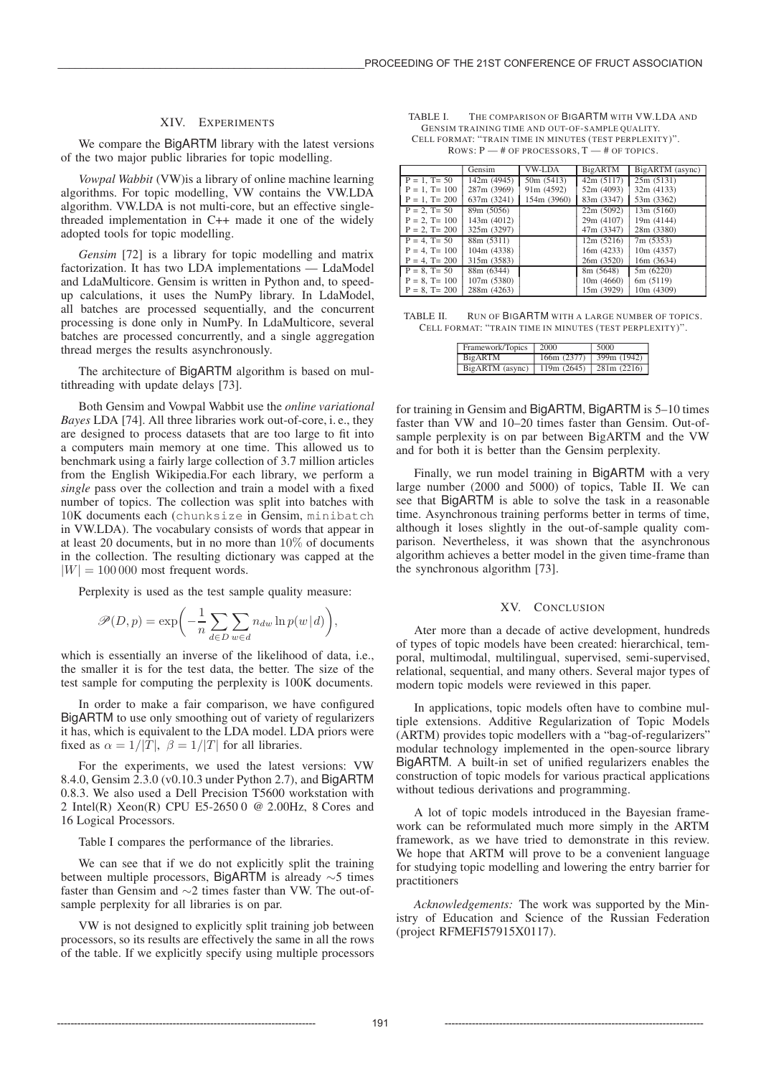## XIV. EXPERIMENTS

We compare the BigARTM library with the latest versions of the two major public libraries for topic modelling.

*Vowpal Wabbit* (VW)is a library of online machine learning algorithms. For topic modelling, VW contains the VW.LDA algorithm. VW.LDA is not multi-core, but an effective singlethreaded implementation in C++ made it one of the widely adopted tools for topic modelling.

*Gensim* [72] is a library for topic modelling and matrix factorization. It has two LDA implementations — LdaModel and LdaMulticore. Gensim is written in Python and, to speedup calculations, it uses the NumPy library. In LdaModel, all batches are processed sequentially, and the concurrent processing is done only in NumPy. In LdaMulticore, several batches are processed concurrently, and a single aggregation thread merges the results asynchronously.

The architecture of BigARTM algorithm is based on multithreading with update delays [73].

Both Gensim and Vowpal Wabbit use the *online variational Bayes* LDA [74]. All three libraries work out-of-core, i. e., they are designed to process datasets that are too large to fit into a computers main memory at one time. This allowed us to benchmark using a fairly large collection of 3.7 million articles from the English Wikipedia.For each library, we perform a *single* pass over the collection and train a model with a fixed number of topics. The collection was split into batches with 10K documents each (chunksize in Gensim, minibatch in VW.LDA). The vocabulary consists of words that appear in at least 20 documents, but in no more than 10% of documents in the collection. The resulting dictionary was capped at the  $|W| = 100 000$  most frequent words.

Perplexity is used as the test sample quality measure:

$$
\mathscr{P}(D,p) = \exp\bigg(-\frac{1}{n}\sum_{d \in D}\sum_{w \in d} n_{dw}\ln p(w | d)\bigg),\,
$$

which is essentially an inverse of the likelihood of data, i.e., the smaller it is for the test data, the better. The size of the test sample for computing the perplexity is 100K documents.

In order to make a fair comparison, we have configured BigARTM to use only smoothing out of variety of regularizers it has, which is equivalent to the LDA model. LDA priors were fixed as  $\alpha = 1/|T|$ ,  $\beta = 1/|T|$  for all libraries.

For the experiments, we used the latest versions: VW 8.4.0, Gensim 2.3.0 (v0.10.3 under Python 2.7), and BigARTM 0.8.3. We also used a Dell Precision T5600 workstation with 2 Intel(R) Xeon(R) CPU E5-2650 0 @ 2.00Hz, 8 Cores and 16 Logical Processors.

Table I compares the performance of the libraries.

We can see that if we do not explicitly split the training between multiple processors, BigARTM is already ∼5 times faster than Gensim and ∼2 times faster than VW. The out-ofsample perplexity for all libraries is on par.

VW is not designed to explicitly split training job between processors, so its results are effectively the same in all the rows of the table. If we explicitly specify using multiple processors

TABLE I. THE COMPARISON OF BIGARTM WITH VW.LDA AND GENSIM TRAINING TIME AND OUT-OF-SAMPLE QUALITY. CELL FORMAT: "TRAIN TIME IN MINUTES (TEST PERPLEXITY)". ROWS:P—# OF PROCESSORS,T—# OF TOPICS.

|                     | Gensim      | VW-LDA      | <b>BigARTM</b> | BigARTM (async) |
|---------------------|-------------|-------------|----------------|-----------------|
| $P = 1$ , T= 50     | 142m (4945) | 50m (5413)  | 42m(5117)      | 25m(5131)       |
| $P = 1$ , $T = 100$ | 287m (3969) | 91m (4592)  | 52m (4093)     | 32m(4133)       |
| $P = 1$ , T= 200    | 637m (3241) | 154m (3960) | 83m (3347)     | 53m (3362)      |
| $P = 2$ , $T = 50$  | 89m (5056)  |             | 22m(5092)      | 13m(5160)       |
| $P = 2$ , $T = 100$ | 143m (4012) |             | 29m (4107)     | 19m (4144)      |
| $P = 2$ , T= 200    | 325m (3297) |             | 47m (3347)     | 28m (3380)      |
| $P = 4$ , $T = 50$  | 88m (5311)  |             | 12m(5216)      | 7m (5353)       |
| $P = 4$ , $T = 100$ | 104m (4338) |             | 16m (4233)     | 10m (4357)      |
| $P = 4$ , T= 200    | 315m (3583) |             | 26m (3520)     | 16m (3634)      |
| $P = 8$ , T= 50     | 88m (6344)  |             | 8m(5648)       | 5m(6220)        |
| $P = 8$ , T= 100    | 107m (5380) |             | 10m(4660)      | 6m (5119)       |
| $P = 8$ , T= 200    | 288m (4263) |             | 15m (3929)     | 10m (4309)      |

TABLE II. RUN OF BIGARTM WITH A LARGE NUMBER OF TOPICS. CELL FORMAT: "TRAIN TIME IN MINUTES (TEST PERPLEXITY)".

| Framework/Topics 2000                                               | 5000                    |
|---------------------------------------------------------------------|-------------------------|
| BigARTM                                                             | 166m (2377) 399m (1942) |
| BigARTM (async) 119 $\overline{m}$ (2645) 281 $\overline{m}$ (2216) |                         |

for training in Gensim and BigARTM, BigARTM is 5–10 times faster than VW and 10–20 times faster than Gensim. Out-ofsample perplexity is on par between BigARTM and the VW and for both it is better than the Gensim perplexity.

Finally, we run model training in BigARTM with a very large number (2000 and 5000) of topics, Table II. We can see that BigARTM is able to solve the task in a reasonable time. Asynchronous training performs better in terms of time, although it loses slightly in the out-of-sample quality comparison. Nevertheless, it was shown that the asynchronous algorithm achieves a better model in the given time-frame than the synchronous algorithm [73].

## XV. CONCLUSION

Ater more than a decade of active development, hundreds of types of topic models have been created: hierarchical, temporal, multimodal, multilingual, supervised, semi-supervised, relational, sequential, and many others. Several major types of modern topic models were reviewed in this paper.

In applications, topic models often have to combine multiple extensions. Additive Regularization of Topic Models (ARTM) provides topic modellers with a "bag-of-regularizers" modular technology implemented in the open-source library BigARTM. A built-in set of unified regularizers enables the construction of topic models for various practical applications without tedious derivations and programming.

A lot of topic models introduced in the Bayesian framework can be reformulated much more simply in the ARTM framework, as we have tried to demonstrate in this review. We hope that ARTM will prove to be a convenient language for studying topic modelling and lowering the entry barrier for practitioners

*Acknowledgements:* The work was supported by the Ministry of Education and Science of the Russian Federation (project RFMEFI57915X0117).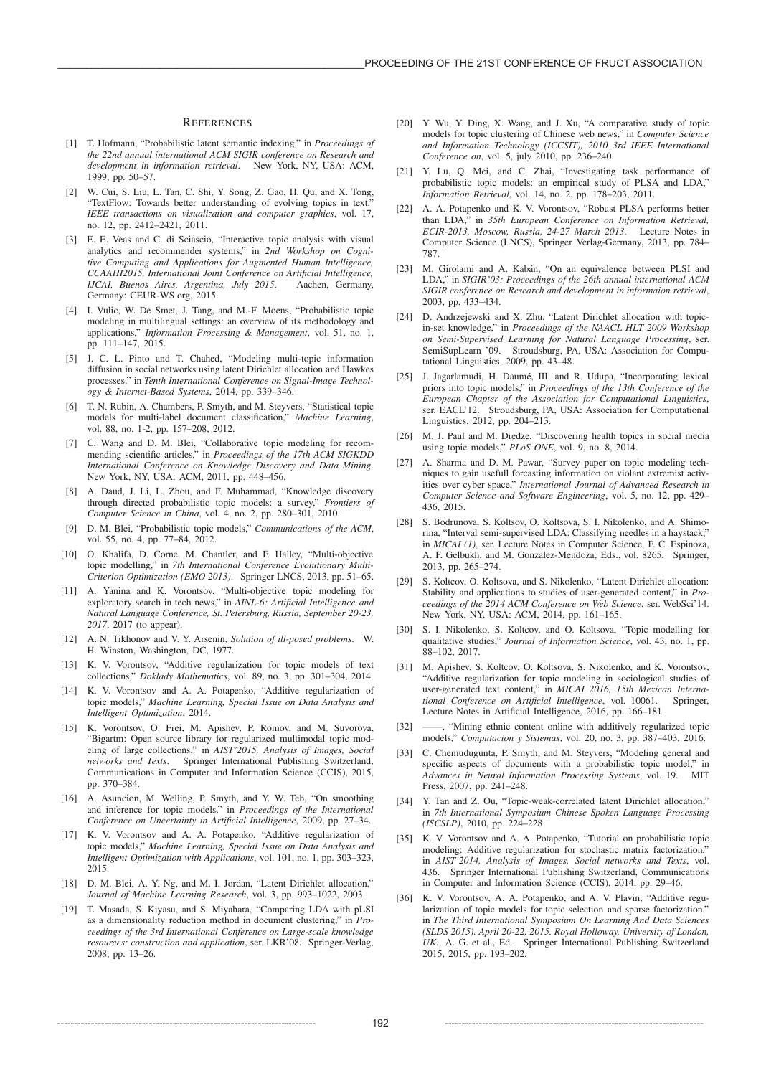#### **REFERENCES**

- [1] T. Hofmann, "Probabilistic latent semantic indexing," in *Proceedings of the 22nd annual international ACM SIGIR conference on Research and development in information retrieval*. New York, NY, USA: ACM, 1999, pp. 50–57.
- [2] W. Cui, S. Liu, L. Tan, C. Shi, Y. Song, Z. Gao, H. Qu, and X. Tong, "TextFlow: Towards better understanding of evolving topics in text." *IEEE transactions on visualization and computer graphics*, vol. 17, no. 12, pp. 2412–2421, 2011.
- [3] E. E. Veas and C. di Sciascio, "Interactive topic analysis with visual analytics and recommender systems," in *2nd Workshop on Cognitive Computing and Applications for Augmented Human Intelligence, CCAAHI2015, International Joint Conference on Artificial Intelligence, IJCAI, Buenos Aires, Argentina, July 2015*. Aachen, Germany, Germany: CEUR-WS.org, 2015.
- [4] I. Vulic, W. De Smet, J. Tang, and M.-F. Moens, "Probabilistic topic modeling in multilingual settings: an overview of its methodology and applications," *Information Processing & Management*, vol. 51, no. 1, pp. 111–147, 2015.
- [5] J. C. L. Pinto and T. Chahed, "Modeling multi-topic information diffusion in social networks using latent Dirichlet allocation and Hawkes processes," in *Tenth International Conference on Signal-Image Technology & Internet-Based Systems*, 2014, pp. 339–346.
- [6] T. N. Rubin, A. Chambers, P. Smyth, and M. Steyvers, "Statistical topic models for multi-label document classification," *Machine Learning*, vol. 88, no. 1-2, pp. 157–208, 2012.
- [7] C. Wang and D. M. Blei, "Collaborative topic modeling for recommending scientific articles," in *Proceedings of the 17th ACM SIGKDD International Conference on Knowledge Discovery and Data Mining*. New York, NY, USA: ACM, 2011, pp. 448–456.
- [8] A. Daud, J. Li, L. Zhou, and F. Muhammad, "Knowledge discovery through directed probabilistic topic models: a survey," *Frontiers of Computer Science in China*, vol. 4, no. 2, pp. 280–301, 2010.
- [9] D. M. Blei, "Probabilistic topic models," *Communications of the ACM*, vol. 55, no. 4, pp. 77–84, 2012.
- [10] O. Khalifa, D. Corne, M. Chantler, and F. Halley, "Multi-objective topic modelling," in *7th International Conference Evolutionary Multi-Criterion Optimization (EMO 2013)*. Springer LNCS, 2013, pp. 51–65.
- [11] A. Yanina and K. Vorontsov, "Multi-objective topic modeling for exploratory search in tech news," in *AINL-6: Artificial Intelligence and Natural Language Conference, St. Petersburg, Russia, September 20-23, 2017*, 2017 (to appear).
- [12] A. N. Tikhonov and V. Y. Arsenin, *Solution of ill-posed problems*. W. H. Winston, Washington, DC, 1977.
- [13] K. V. Vorontsov, "Additive regularization for topic models of text collections," *Doklady Mathematics*, vol. 89, no. 3, pp. 301–304, 2014.
- [14] K. V. Vorontsov and A. A. Potapenko, "Additive regularization of topic models," *Machine Learning, Special Issue on Data Analysis and Intelligent Optimization*, 2014.
- [15] K. Vorontsov, O. Frei, M. Apishev, P. Romov, and M. Suvorova, "Bigartm: Open source library for regularized multimodal topic modeling of large collections," in *AIST'2015, Analysis of Images, Social networks and Texts*. Springer International Publishing Switzerland, Communications in Computer and Information Science (CCIS), 2015, pp. 370–384.
- [16] A. Asuncion, M. Welling, P. Smyth, and Y. W. Teh, "On smoothing and inference for topic models," in *Proceedings of the International Conference on Uncertainty in Artificial Intelligence*, 2009, pp. 27–34.
- [17] K. V. Vorontsov and A. A. Potapenko, "Additive regularization of topic models," *Machine Learning, Special Issue on Data Analysis and Intelligent Optimization with Applications*, vol. 101, no. 1, pp. 303–323, 2015.
- [18] D. M. Blei, A. Y. Ng, and M. I. Jordan, "Latent Dirichlet allocation," *Journal of Machine Learning Research*, vol. 3, pp. 993–1022, 2003.
- [19] T. Masada, S. Kiyasu, and S. Miyahara, "Comparing LDA with pLSI as a dimensionality reduction method in document clustering," in *Proceedings of the 3rd International Conference on Large-scale knowledge resources: construction and application*, ser. LKR'08. Springer-Verlag, 2008, pp. 13–26.
- [20] Y. Wu, Y. Ding, X. Wang, and J. Xu, "A comparative study of topic models for topic clustering of Chinese web news," in *Computer Science and Information Technology (ICCSIT), 2010 3rd IEEE International Conference on*, vol. 5, july 2010, pp. 236–240.
- [21] Y. Lu, Q. Mei, and C. Zhai, "Investigating task performance of probabilistic topic models: an empirical study of PLSA and LDA," *Information Retrieval*, vol. 14, no. 2, pp. 178–203, 2011.
- [22] A. A. Potapenko and K. V. Vorontsov, "Robust PLSA performs better than LDA," in *35th European Conference on Information Retrieval, ECIR-2013, Moscow, Russia, 24-27 March 2013*. Lecture Notes in Computer Science (LNCS), Springer Verlag-Germany, 2013, pp. 784– 787.
- [23] M. Girolami and A. Kabán, "On an equivalence between PLSI and LDA," in *SIGIR'03: Proceedings of the 26th annual international ACM SIGIR conference on Research and development in informaion retrieval*, 2003, pp. 433–434.
- [24] D. Andrzejewski and X. Zhu, "Latent Dirichlet allocation with topicin-set knowledge," in *Proceedings of the NAACL HLT 2009 Workshop on Semi-Supervised Learning for Natural Language Processing*, ser. SemiSupLearn '09. Stroudsburg, PA, USA: Association for Computational Linguistics, 2009, pp. 43–48.
- [25] J. Jagarlamudi, H. Daumé, III, and R. Udupa, "Incorporating lexical priors into topic models," in *Proceedings of the 13th Conference of the European Chapter of the Association for Computational Linguistics*, ser. EACL'12. Stroudsburg, PA, USA: Association for Computational Linguistics, 2012, pp. 204–213.
- [26] M. J. Paul and M. Dredze, "Discovering health topics in social media using topic models," *PLoS ONE*, vol. 9, no. 8, 2014.
- A. Sharma and D. M. Pawar, "Survey paper on topic modeling techniques to gain usefull forcasting information on violant extremist activities over cyber space," *International Journal of Advanced Research in Computer Science and Software Engineering*, vol. 5, no. 12, pp. 429– 436, 2015.
- [28] S. Bodrunova, S. Koltsov, O. Koltsova, S. I. Nikolenko, and A. Shimorina, "Interval semi-supervised LDA: Classifying needles in a haystack," in *MICAI (1)*, ser. Lecture Notes in Computer Science, F. C. Espinoza, A. F. Gelbukh, and M. Gonzalez-Mendoza, Eds., vol. 8265. Springer, 2013, pp. 265–274.
- [29] S. Koltcov, O. Koltsova, and S. Nikolenko, "Latent Dirichlet allocation: Stability and applications to studies of user-generated content," in *Proceedings of the 2014 ACM Conference on Web Science*, ser. WebSci'14. New York, NY, USA: ACM, 2014, pp. 161–165.
- [30] S. I. Nikolenko, S. Koltcov, and O. Koltsova, "Topic modelling for qualitative studies," *Journal of Information Science*, vol. 43, no. 1, pp. 88–102, 2017.
- [31] M. Apishev, S. Koltcov, O. Koltsova, S. Nikolenko, and K. Vorontsov, "Additive regularization for topic modeling in sociological studies of user-generated text content," in *MICAI 2016, 15th Mexican International Conference on Artificial Intelligence*, vol. 10061. Springer, Lecture Notes in Artificial Intelligence, 2016, pp. 166–181.
- [32] ——, "Mining ethnic content online with additively regularized topic models," *Computacion y Sistemas*, vol. 20, no. 3, pp. 387–403, 2016.
- C. Chemudugunta, P. Smyth, and M. Steyvers, "Modeling general and specific aspects of documents with a probabilistic topic model," in *Advances in Neural Information Processing Systems*, vol. 19. MIT Press, 2007, pp. 241–248.
- Y. Tan and Z. Ou, "Topic-weak-correlated latent Dirichlet allocation," in *7th International Symposium Chinese Spoken Language Processing (ISCSLP)*, 2010, pp. 224–228.
- [35] K. V. Vorontsov and A. A. Potapenko, "Tutorial on probabilistic topic modeling: Additive regularization for stochastic matrix factorization,' in *AIST'2014, Analysis of Images, Social networks and Texts*, vol. 436. Springer International Publishing Switzerland, Communications in Computer and Information Science (CCIS), 2014, pp. 29–46.
- [36] K. V. Vorontsov, A. A. Potapenko, and A. V. Plavin, "Additive regularization of topic models for topic selection and sparse factorization," in *The Third International Symposium On Learning And Data Sciences (SLDS 2015). April 20-22, 2015. Royal Holloway, University of London,* UK., A. G. et al., Ed. Springer International Publishing Switzerland 2015, 2015, pp. 193–202.